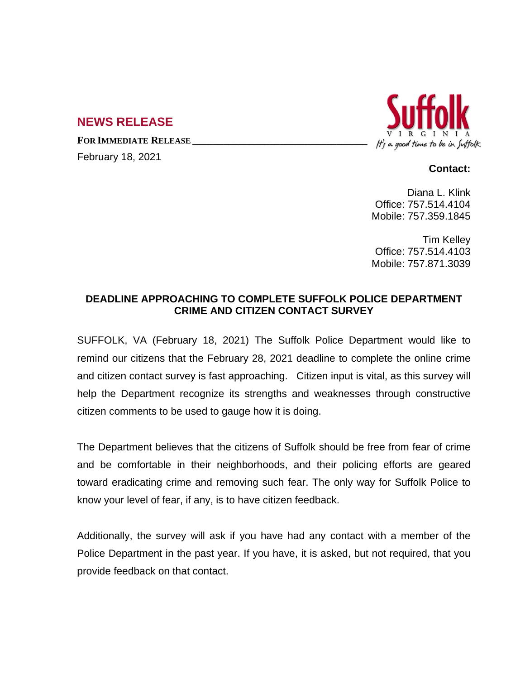## **NEWS RELEASE**

**FOR IMMEDIATE RELEASE \_\_\_\_\_\_\_\_\_\_\_\_\_\_\_\_\_\_\_\_\_\_\_\_\_\_\_\_\_\_\_\_\_\_**

February 18, 2021



## **Contact:**

Diana L. Klink Office: 757.514.4104 Mobile: 757.359.1845

Tim Kelley Office: 757.514.4103 Mobile: 757.871.3039

## **DEADLINE APPROACHING TO COMPLETE SUFFOLK POLICE DEPARTMENT CRIME AND CITIZEN CONTACT SURVEY**

SUFFOLK, VA (February 18, 2021) The Suffolk Police Department would like to remind our citizens that the February 28, 2021 deadline to complete the online crime and citizen contact survey is fast approaching. Citizen input is vital, as this survey will help the Department recognize its strengths and weaknesses through constructive citizen comments to be used to gauge how it is doing.

The Department believes that the citizens of Suffolk should be free from fear of crime and be comfortable in their neighborhoods, and their policing efforts are geared toward eradicating crime and removing such fear. The only way for Suffolk Police to know your level of fear, if any, is to have citizen feedback.

Additionally, the survey will ask if you have had any contact with a member of the Police Department in the past year. If you have, it is asked, but not required, that you provide feedback on that contact.